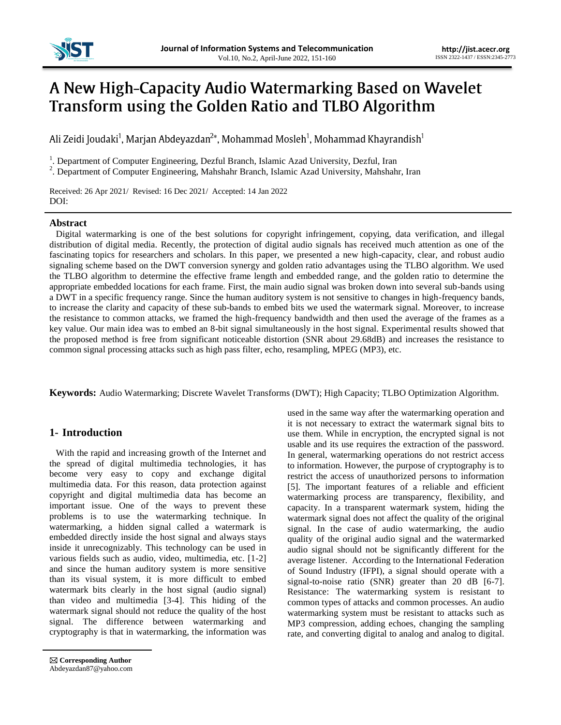

# A New High-Capacity Audio Watermarking Based on Wavelet Transform using the Golden Ratio and TLBO Algorithm

Ali Zeidi Joudaki<sup>1</sup>, Marjan Abdeyazdan<sup>2\*</sup>, Mohammad Mosleh<sup>1</sup>, Mohammad Khayrandish<sup>1</sup>

<sup>1</sup>. Department of Computer Engineering, Dezful Branch, Islamic Azad University, Dezful, Iran

<sup>2</sup>. Department of Computer Engineering, Mahshahr Branch, Islamic Azad University, Mahshahr, Iran

Received: 26 Apr 2021/ Revised: 16 Dec 2021/ Accepted: 14 Jan 2022 DOI:

## **Abstract**

Digital watermarking is one of the best solutions for copyright infringement, copying, data verification, and illegal distribution of digital media. Recently, the protection of digital audio signals has received much attention as one of the fascinating topics for researchers and scholars. In this paper, we presented a new high-capacity, clear, and robust audio signaling scheme based on the DWT conversion synergy and golden ratio advantages using the TLBO algorithm. We used the TLBO algorithm to determine the effective frame length and embedded range, and the golden ratio to determine the appropriate embedded locations for each frame. First, the main audio signal was broken down into several sub-bands using a DWT in a specific frequency range. Since the human auditory system is not sensitive to changes in high-frequency bands, to increase the clarity and capacity of these sub-bands to embed bits we used the watermark signal. Moreover, to increase the resistance to common attacks, we framed the high-frequency bandwidth and then used the average of the frames as a key value. Our main idea was to embed an 8-bit signal simultaneously in the host signal. Experimental results showed that the proposed method is free from significant noticeable distortion (SNR about 29.68dB) and increases the resistance to common signal processing attacks such as high pass filter, echo, resampling, MPEG (MP3), etc.

**Keywords:** Audio Watermarking; Discrete Wavelet Transforms (DWT); High Capacity; TLBO Optimization Algorithm.

# **1- Introduction**

With the rapid and increasing growth of the Internet and the spread of digital multimedia technologies, it has become very easy to copy and exchange digital multimedia data. For this reason, data protection against copyright and digital multimedia data has become an important issue. One of the ways to prevent these problems is to use the watermarking technique. In watermarking, a hidden signal called a watermark is embedded directly inside the host signal and always stays inside it unrecognizably. This technology can be used in various fields such as audio, video, multimedia, etc. [1-2] and since the human auditory system is more sensitive than its visual system, it is more difficult to embed watermark bits clearly in the host signal (audio signal) than video and multimedia [3-4]. This hiding of the watermark signal should not reduce the quality of the host signal. The difference between watermarking and cryptography is that in watermarking, the information was

 **Corresponding Author** Abdeyazdan87@yahoo.com used in the same way after the watermarking operation and it is not necessary to extract the watermark signal bits to use them. While in encryption, the encrypted signal is not usable and its use requires the extraction of the password. In general, watermarking operations do not restrict access to information. However, the purpose of cryptography is to restrict the access of unauthorized persons to information [5]. The important features of a reliable and efficient watermarking process are transparency, flexibility, and capacity. In a transparent watermark system, hiding the watermark signal does not affect the quality of the original signal. In the case of audio watermarking, the audio quality of the original audio signal and the watermarked audio signal should not be significantly different for the average listener. According to the International Federation of Sound Industry (IFPI), a signal should operate with a signal-to-noise ratio (SNR) greater than 20 dB [6-7]. Resistance: The watermarking system is resistant to common types of attacks and common processes. An audio watermarking system must be resistant to attacks such as MP3 compression, adding echoes, changing the sampling rate, and converting digital to analog and analog to digital.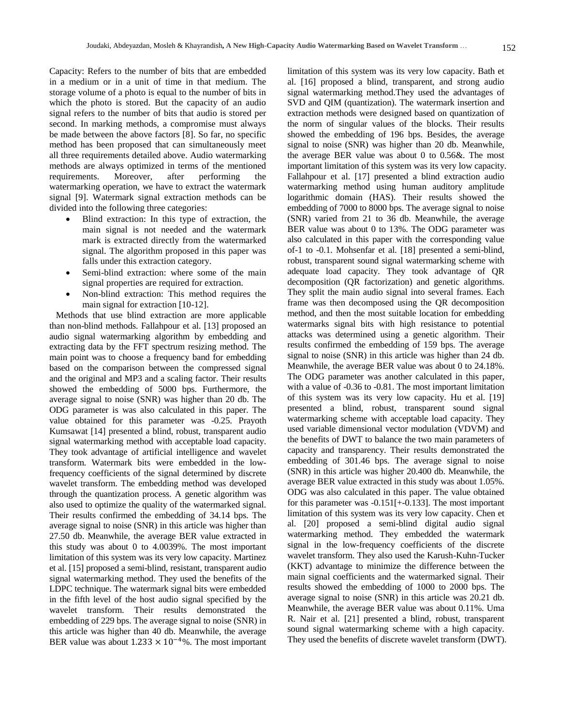Capacity: Refers to the number of bits that are embedded in a medium or in a unit of time in that medium. The storage volume of a photo is equal to the number of bits in which the photo is stored. But the capacity of an audio signal refers to the number of bits that audio is stored per second. In marking methods, a compromise must always be made between the above factors [8]. So far, no specific method has been proposed that can simultaneously meet all three requirements detailed above. Audio watermarking methods are always optimized in terms of the mentioned requirements. Moreover, after performing the watermarking operation, we have to extract the watermark signal [9]. Watermark signal extraction methods can be divided into the following three categories:

- Blind extraction: In this type of extraction, the main signal is not needed and the watermark mark is extracted directly from the watermarked signal. The algorithm proposed in this paper was falls under this extraction category.
- Semi-blind extraction: where some of the main signal properties are required for extraction.
- Non-blind extraction: This method requires the main signal for extraction [10-12].

Methods that use blind extraction are more applicable than non-blind methods. Fallahpour et al. [13] proposed an audio signal watermarking algorithm by embedding and extracting data by the FFT spectrum resizing method. The main point was to choose a frequency band for embedding based on the comparison between the compressed signal and the original and MP3 and a scaling factor. Their results showed the embedding of 5000 bps. Furthermore, the average signal to noise (SNR) was higher than 20 db. The ODG parameter is was also calculated in this paper. The value obtained for this parameter was -0.25. Prayoth Kumsawat [14] presented a blind, robust, transparent audio signal watermarking method with acceptable load capacity. They took advantage of artificial intelligence and wavelet transform. Watermark bits were embedded in the lowfrequency coefficients of the signal determined by discrete wavelet transform. The embedding method was developed through the quantization process. A genetic algorithm was also used to optimize the quality of the watermarked signal. Their results confirmed the embedding of 34.14 bps. The average signal to noise (SNR) in this article was higher than 27.50 db. Meanwhile, the average BER value extracted in this study was about 0 to 4.0039%. The most important limitation of this system was its very low capacity. Martinez et al. [15] proposed a semi-blind, resistant, transparent audio signal watermarking method. They used the benefits of the LDPC technique. The watermark signal bits were embedded in the fifth level of the host audio signal specified by the wavelet transform. Their results demonstrated the embedding of 229 bps. The average signal to noise (SNR) in this article was higher than 40 db. Meanwhile, the average BER value was about  $1.233 \times 10^{-4}$ %. The most important limitation of this system was its very low capacity. Bath et al. [16] proposed a blind, transparent, and strong audio signal watermarking method.They used the advantages of SVD and QIM (quantization). The watermark insertion and extraction methods were designed based on quantization of the norm of singular values of the blocks. Their results showed the embedding of 196 bps. Besides, the average signal to noise (SNR) was higher than 20 db. Meanwhile, the average BER value was about 0 to 0.56&. The most important limitation of this system was its very low capacity. Fallahpour et al. [17] presented a blind extraction audio watermarking method using human auditory amplitude logarithmic domain (HAS). Their results showed the embedding of 7000 to 8000 bps. The average signal to noise (SNR) varied from 21 to 36 db. Meanwhile, the average BER value was about 0 to 13%. The ODG parameter was also calculated in this paper with the corresponding value of-1 to -0.1. Mohsenfar et al. [18] presented a semi-blind, robust, transparent sound signal watermarking scheme with adequate load capacity. They took advantage of QR decomposition (QR factorization) and genetic algorithms. They split the main audio signal into several frames. Each frame was then decomposed using the QR decomposition method, and then the most suitable location for embedding watermarks signal bits with high resistance to potential attacks was determined using a genetic algorithm. Their results confirmed the embedding of 159 bps. The average signal to noise (SNR) in this article was higher than 24 db. Meanwhile, the average BER value was about 0 to 24.18%. The ODG parameter was another calculated in this paper, with a value of -0.36 to -0.81. The most important limitation of this system was its very low capacity. Hu et al. [19] presented a blind, robust, transparent sound signal watermarking scheme with acceptable load capacity. They used variable dimensional vector modulation (VDVM) and the benefits of DWT to balance the two main parameters of capacity and transparency. Their results demonstrated the embedding of 301.46 bps. The average signal to noise (SNR) in this article was higher 20.400 db. Meanwhile, the average BER value extracted in this study was about 1.05%. ODG was also calculated in this paper. The value obtained for this parameter was -0.151[+-0.133]. The most important limitation of this system was its very low capacity. Chen et al. [20] proposed a semi-blind digital audio signal watermarking method. They embedded the watermark signal in the low-frequency coefficients of the discrete wavelet transform. They also used the Karush-Kuhn-Tucker (KKT) advantage to minimize the difference between the main signal coefficients and the watermarked signal. Their results showed the embedding of 1000 to 2000 bps. The average signal to noise (SNR) in this article was 20.21 db. Meanwhile, the average BER value was about 0.11%. Uma R. Nair et al. [21] presented a blind, robust, transparent sound signal watermarking scheme with a high capacity. They used the benefits of discrete wavelet transform (DWT).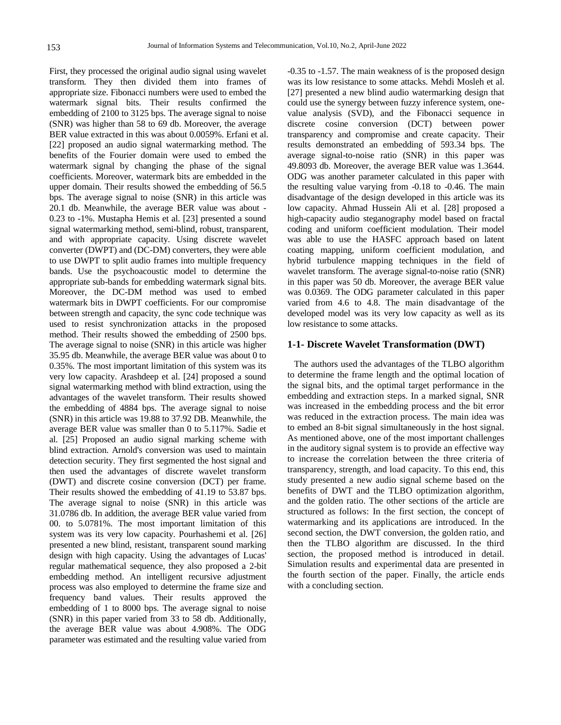First, they processed the original audio signal using wavelet transform. They then divided them into frames of appropriate size. Fibonacci numbers were used to embed the watermark signal bits. Their results confirmed the embedding of 2100 to 3125 bps. The average signal to noise (SNR) was higher than 58 to 69 db. Moreover, the average BER value extracted in this was about 0.0059%. Erfani et al. [22] proposed an audio signal watermarking method. The benefits of the Fourier domain were used to embed the watermark signal by changing the phase of the signal coefficients. Moreover, watermark bits are embedded in the upper domain. Their results showed the embedding of 56.5 bps. The average signal to noise (SNR) in this article was 20.1 db. Meanwhile, the average BER value was about - 0.23 to -1%. Mustapha Hemis et al. [23] presented a sound signal watermarking method, semi-blind, robust, transparent, and with appropriate capacity. Using discrete wavelet converter (DWPT) and (DC-DM) converters, they were able to use DWPT to split audio frames into multiple frequency bands. Use the psychoacoustic model to determine the appropriate sub-bands for embedding watermark signal bits. Moreover, the DC-DM method was used to embed watermark bits in DWPT coefficients. For our compromise between strength and capacity, the sync code technique was used to resist synchronization attacks in the proposed method. Their results showed the embedding of 2500 bps. The average signal to noise (SNR) in this article was higher 35.95 db. Meanwhile, the average BER value was about 0 to 0.35%. The most important limitation of this system was its very low capacity. Arashdeep et al. [24] proposed a sound signal watermarking method with blind extraction, using the advantages of the wavelet transform. Their results showed the embedding of 4884 bps. The average signal to noise (SNR) in this article was 19.88 to 37.92 DB. Meanwhile, the average BER value was smaller than 0 to 5.117%. Sadie et al. [25] Proposed an audio signal marking scheme with blind extraction. Arnold's conversion was used to maintain detection security. They first segmented the host signal and then used the advantages of discrete wavelet transform (DWT) and discrete cosine conversion (DCT) per frame. Their results showed the embedding of 41.19 to 53.87 bps. The average signal to noise (SNR) in this article was 31.0786 db. In addition, the average BER value varied from 00. to 5.0781%. The most important limitation of this system was its very low capacity. Pourhashemi et al. [26] presented a new blind, resistant, transparent sound marking design with high capacity. Using the advantages of Lucas' regular mathematical sequence, they also proposed a 2-bit embedding method. An intelligent recursive adjustment process was also employed to determine the frame size and frequency band values. Their results approved the embedding of 1 to 8000 bps. The average signal to noise (SNR) in this paper varied from 33 to 58 db. Additionally, the average BER value was about 4.908%. The ODG parameter was estimated and the resulting value varied from

-0.35 to -1.57. The main weakness of is the proposed design was its low resistance to some attacks. Mehdi Mosleh et al. [27] presented a new blind audio watermarking design that could use the synergy between fuzzy inference system, onevalue analysis (SVD), and the Fibonacci sequence in discrete cosine conversion (DCT) between power transparency and compromise and create capacity. Their results demonstrated an embedding of 593.34 bps. The average signal-to-noise ratio (SNR) in this paper was 49.8093 db. Moreover, the average BER value was 1.3644. ODG was another parameter calculated in this paper with the resulting value varying from -0.18 to -0.46. The main disadvantage of the design developed in this article was its low capacity. Ahmad Hussein Ali et al. [28] proposed a high-capacity audio steganography model based on fractal coding and uniform coefficient modulation. Their model was able to use the HASFC approach based on latent coating mapping, uniform coefficient modulation, and hybrid turbulence mapping techniques in the field of wavelet transform. The average signal-to-noise ratio (SNR) in this paper was 50 db. Moreover, the average BER value was 0.0369. The ODG parameter calculated in this paper varied from 4.6 to 4.8. The main disadvantage of the developed model was its very low capacity as well as its low resistance to some attacks.

#### **1-1- Discrete Wavelet Transformation (DWT)**

The authors used the advantages of the TLBO algorithm to determine the frame length and the optimal location of the signal bits, and the optimal target performance in the embedding and extraction steps. In a marked signal, SNR was increased in the embedding process and the bit error was reduced in the extraction process. The main idea was to embed an 8-bit signal simultaneously in the host signal. As mentioned above, one of the most important challenges in the auditory signal system is to provide an effective way to increase the correlation between the three criteria of transparency, strength, and load capacity. To this end, this study presented a new audio signal scheme based on the benefits of DWT and the TLBO optimization algorithm, and the golden ratio. The other sections of the article are structured as follows: In the first section, the concept of watermarking and its applications are introduced. In the second section, the DWT conversion, the golden ratio, and then the TLBO algorithm are discussed. In the third section, the proposed method is introduced in detail. Simulation results and experimental data are presented in the fourth section of the paper. Finally, the article ends with a concluding section.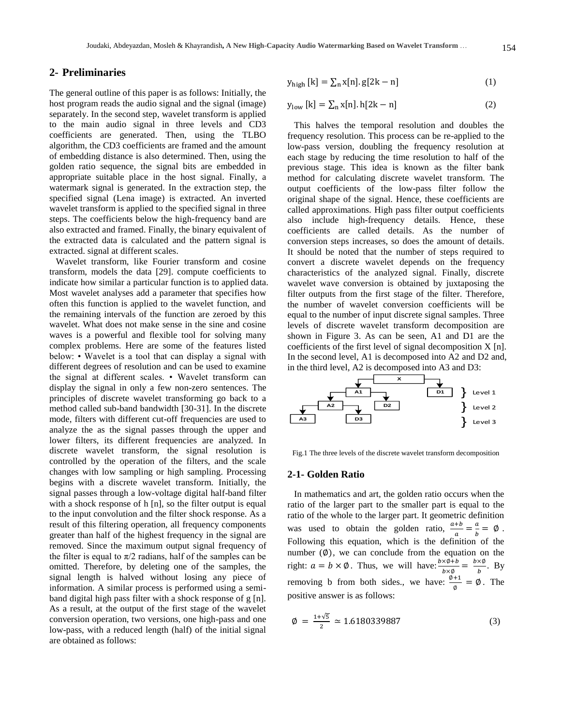## **2- Preliminaries**

The general outline of this paper is as follows: Initially, the host program reads the audio signal and the signal (image) separately. In the second step, wavelet transform is applied to the main audio signal in three levels and CD3 coefficients are generated. Then, using the TLBO algorithm, the CD3 coefficients are framed and the amount of embedding distance is also determined. Then, using the golden ratio sequence, the signal bits are embedded in appropriate suitable place in the host signal. Finally, a watermark signal is generated. In the extraction step, the specified signal (Lena image) is extracted. An inverted wavelet transform is applied to the specified signal in three steps. The coefficients below the high-frequency band are also extracted and framed. Finally, the binary equivalent of the extracted data is calculated and the pattern signal is extracted. signal at different scales.

Wavelet transform, like Fourier transform and cosine transform, models the data [29]. compute coefficients to indicate how similar a particular function is to applied data. Most wavelet analyses add a parameter that specifies how often this function is applied to the wavelet function, and the remaining intervals of the function are zeroed by this wavelet. What does not make sense in the sine and cosine waves is a powerful and flexible tool for solving many complex problems. Here are some of the features listed below: • Wavelet is a tool that can display a signal with different degrees of resolution and can be used to examine the signal at different scales. • Wavelet transform can display the signal in only a few non-zero sentences. The principles of discrete wavelet transforming go back to a method called sub-band bandwidth [30-31]. In the discrete mode, filters with different cut-off frequencies are used to analyze the as the signal passes through the upper and lower filters, its different frequencies are analyzed. In discrete wavelet transform, the signal resolution is controlled by the operation of the filters, and the scale changes with low sampling or high sampling. Processing begins with a discrete wavelet transform. Initially, the signal passes through a low-voltage digital half-band filter with a shock response of h [n], so the filter output is equal to the input convolution and the filter shock response. As a result of this filtering operation, all frequency components greater than half of the highest frequency in the signal are removed. Since the maximum output signal frequency of the filter is equal to  $\pi/2$  radians, half of the samples can be omitted. Therefore, by deleting one of the samples, the signal length is halved without losing any piece of information. A similar process is performed using a semiband digital high pass filter with a shock response of g [n]. As a result, at the output of the first stage of the wavelet conversion operation, two versions, one high-pass and one low-pass, with a reduced length (half) of the initial signal are obtained as follows:

$$
y_{\text{high}}[k] = \sum_{n} x[n].g[2k - n]
$$
 (1)

$$
y_{\text{low}}\left[k\right] = \sum_{n} x[n].\,h[2k - n] \tag{2}
$$

This halves the temporal resolution and doubles the frequency resolution. This process can be re-applied to the low-pass version, doubling the frequency resolution at each stage by reducing the time resolution to half of the previous stage. This idea is known as the filter bank method for calculating discrete wavelet transform. The output coefficients of the low-pass filter follow the original shape of the signal. Hence, these coefficients are called approximations. High pass filter output coefficients also include high-frequency details. Hence, these coefficients are called details. As the number of conversion steps increases, so does the amount of details. It should be noted that the number of steps required to convert a discrete wavelet depends on the frequency characteristics of the analyzed signal. Finally, discrete wavelet wave conversion is obtained by juxtaposing the filter outputs from the first stage of the filter. Therefore, the number of wavelet conversion coefficients will be equal to the number of input discrete signal samples. Three levels of discrete wavelet transform decomposition are shown in Figure 3. As can be seen, A1 and D1 are the coefficients of the first level of signal decomposition X [n]. In the second level, A1 is decomposed into A2 and D2 and, in the third level, A2 is decomposed into A3 and D3:



Fig.1 The three levels of the discrete wavelet transform decomposition

#### **2-1- Golden Ratio**

In mathematics and art, the golden ratio occurs when the ratio of the larger part to the smaller part is equal to the ratio of the whole to the larger part. It geometric definition was used to obtain the golden ratio,  $\frac{a+b}{a} = \frac{a}{b}$  $\frac{a}{b} = \emptyset$ . Following this equation, which is the definition of the number  $(\emptyset)$ , we can conclude from the equation on the right:  $a = b \times \emptyset$ . Thus, we will have:  $\frac{b \times \emptyset + b}{b \times \emptyset} = \frac{b}{\emptyset}$  $\frac{\lambda \varphi}{b}$ . By removing b from both sides., we have:  $\frac{\varphi+1}{\varphi} = \varphi$ . The positive answer is as follows:

$$
\emptyset = \frac{1+\sqrt{5}}{2} \simeq 1.6180339887 \tag{3}
$$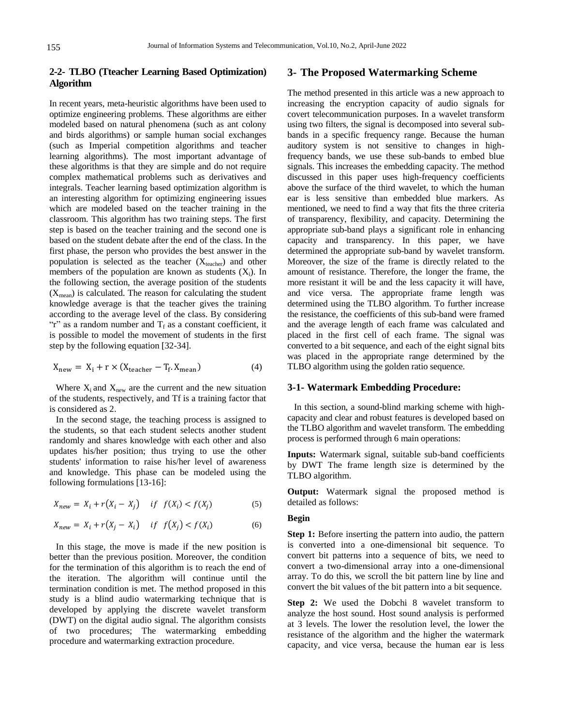## **2-2- TLBO (Tteacher Learning Based Optimization) Algorithm**

In recent years, meta-heuristic algorithms have been used to optimize engineering problems. These algorithms are either modeled based on natural phenomena (such as ant colony and birds algorithms) or sample human social exchanges (such as Imperial competition algorithms and teacher learning algorithms). The most important advantage of these algorithms is that they are simple and do not require complex mathematical problems such as derivatives and integrals. Teacher learning based optimization algorithm is an interesting algorithm for optimizing engineering issues which are modeled based on the teacher training in the classroom. This algorithm has two training steps. The first step is based on the teacher training and the second one is based on the student debate after the end of the class. In the first phase, the person who provides the best answer in the population is selected as the teacher  $(X_{\text{teacher}})$  and other members of the population are known as students  $(X_i)$ . In the following section, the average position of the students  $(X_{mean})$  is calculated. The reason for calculating the student knowledge average is that the teacher gives the training according to the average level of the class. By considering "r" as a random number and  $T_f$  as a constant coefficient, it is possible to model the movement of students in the first step by the following equation [32-34].

$$
X_{\text{new}} = X_i + r \times (X_{\text{teacher}} - T_f. X_{\text{mean}}) \tag{4}
$$

Where  $X_i$  and  $X_{\text{new}}$  are the current and the new situation of the students, respectively, and Tf is a training factor that is considered as 2.

In the second stage, the teaching process is assigned to the students, so that each student selects another student randomly and shares knowledge with each other and also updates his/her position; thus trying to use the other students' information to raise his/her level of awareness and knowledge. This phase can be modeled using the following formulations [13-16]:

$$
X_{new} = X_i + r(X_i - X_j) \quad \text{if} \quad f(X_i) < f(X_j) \tag{5}
$$

$$
X_{new} = X_i + r(X_j - X_i) \quad \text{if} \quad f(X_j) < f(X_i) \tag{6}
$$

In this stage, the move is made if the new position is better than the previous position. Moreover, the condition for the termination of this algorithm is to reach the end of the iteration. The algorithm will continue until the termination condition is met. The method proposed in this study is a blind audio watermarking technique that is developed by applying the discrete wavelet transform (DWT) on the digital audio signal. The algorithm consists of two procedures; The watermarking embedding procedure and watermarking extraction procedure.

## **3- The Proposed Watermarking Scheme**

The method presented in this article was a new approach to increasing the encryption capacity of audio signals for covert telecommunication purposes. In a wavelet transform using two filters, the signal is decomposed into several subbands in a specific frequency range. Because the human auditory system is not sensitive to changes in highfrequency bands, we use these sub-bands to embed blue signals. This increases the embedding capacity. The method discussed in this paper uses high-frequency coefficients above the surface of the third wavelet, to which the human ear is less sensitive than embedded blue markers. As mentioned, we need to find a way that fits the three criteria of transparency, flexibility, and capacity. Determining the appropriate sub-band plays a significant role in enhancing capacity and transparency. In this paper, we have determined the appropriate sub-band by wavelet transform. Moreover, the size of the frame is directly related to the amount of resistance. Therefore, the longer the frame, the more resistant it will be and the less capacity it will have, and vice versa. The appropriate frame length was determined using the TLBO algorithm. To further increase the resistance, the coefficients of this sub-band were framed and the average length of each frame was calculated and placed in the first cell of each frame. The signal was converted to a bit sequence, and each of the eight signal bits was placed in the appropriate range determined by the TLBO algorithm using the golden ratio sequence.

## **3-1- Watermark Embedding Procedure:**

In this section, a sound-blind marking scheme with highcapacity and clear and robust features is developed based on the TLBO algorithm and wavelet transform. The embedding process is performed through 6 main operations:

**Inputs:** Watermark signal, suitable sub-band coefficients by DWT The frame length size is determined by the TLBO algorithm.

**Output:** Watermark signal the proposed method is detailed as follows:

#### **Begin**

**Step 1:** Before inserting the pattern into audio, the pattern is converted into a one-dimensional bit sequence. To convert bit patterns into a sequence of bits, we need to convert a two-dimensional array into a one-dimensional array. To do this, we scroll the bit pattern line by line and convert the bit values of the bit pattern into a bit sequence.

**Step 2:** We used the Dobchi 8 wavelet transform to analyze the host sound. Host sound analysis is performed at 3 levels. The lower the resolution level, the lower the resistance of the algorithm and the higher the watermark capacity, and vice versa, because the human ear is less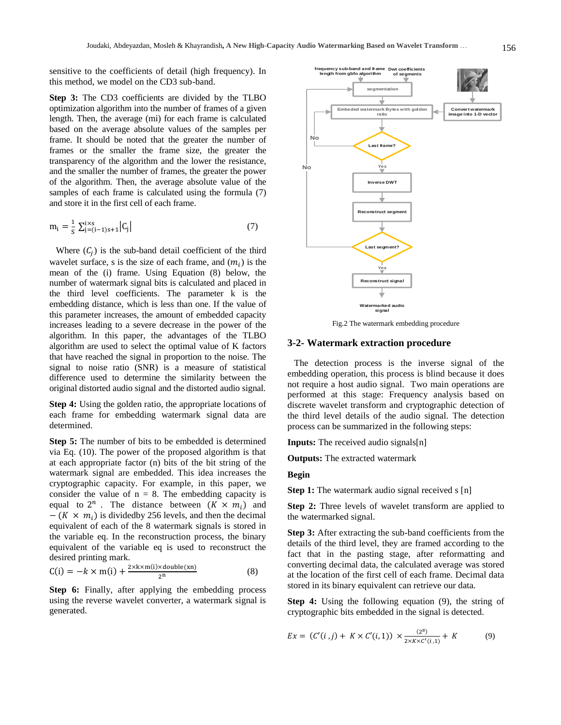sensitive to the coefficients of detail (high frequency). In this method, we model on the CD3 sub-band.

**Step 3:** The CD3 coefficients are divided by the TLBO optimization algorithm into the number of frames of a given length. Then, the average (mi) for each frame is calculated based on the average absolute values of the samples per frame. It should be noted that the greater the number of frames or the smaller the frame size, the greater the transparency of the algorithm and the lower the resistance, and the smaller the number of frames, the greater the power of the algorithm. Then, the average absolute value of the samples of each frame is calculated using the formula (7) and store it in the first cell of each frame.

$$
m_i = \frac{1}{s} \sum_{j=(i-1)s+1}^{i \times s} |C_j|
$$
 (7)

Where  $(C_i)$  is the sub-band detail coefficient of the third wavelet surface, s is the size of each frame, and  $(m_i)$  is the mean of the (i) frame. Using Equation (8) below, the number of watermark signal bits is calculated and placed in the third level coefficients. The parameter k is the embedding distance, which is less than one. If the value of this parameter increases, the amount of embedded capacity increases leading to a severe decrease in the power of the algorithm. In this paper, the advantages of the TLBO algorithm are used to select the optimal value of K factors that have reached the signal in proportion to the noise. The signal to noise ratio (SNR) is a measure of statistical difference used to determine the similarity between the original distorted audio signal and the distorted audio signal.

**Step 4:** Using the golden ratio, the appropriate locations of each frame for embedding watermark signal data are determined.

**Step 5:** The number of bits to be embedded is determined via Eq. (10). The power of the proposed algorithm is that at each appropriate factor (n) bits of the bit string of the watermark signal are embedded. This idea increases the cryptographic capacity. For example, in this paper, we consider the value of  $n = 8$ . The embedding capacity is equal to  $2^n$ . The distance between  $(K \times m_i)$  and  $-(K \times m_i)$  is divided by 256 levels, and then the decimal equivalent of each of the 8 watermark signals is stored in the variable eq. In the reconstruction process, the binary equivalent of the variable eq is used to reconstruct the desired printing mark.

$$
C(i) = -k \times m(i) + \frac{2 \times k \times m(i) \times double(xn)}{2^n}
$$
 (8)

**Step 6:** Finally, after applying the embedding process using the reverse wavelet converter, a watermark signal is generated.



Fig.2 The watermark embedding procedure

#### **3-2- Watermark extraction procedure**

The detection process is the inverse signal of the embedding operation, this process is blind because it does not require a host audio signal. Two main operations are performed at this stage: Frequency analysis based on discrete wavelet transform and cryptographic detection of the third level details of the audio signal. The detection process can be summarized in the following steps:

**Inputs:** The received audio signals[n]

**Outputs:** The extracted watermark

#### **Begin**

**Step 1:** The watermark audio signal received s [n]

**Step 2:** Three levels of wavelet transform are applied to the watermarked signal.

**Step 3:** After extracting the sub-band coefficients from the details of the third level, they are framed according to the fact that in the pasting stage, after reformatting and converting decimal data, the calculated average was stored at the location of the first cell of each frame. Decimal data stored in its binary equivalent can retrieve our data.

**Step 4:** Using the following equation (9), the string of cryptographic bits embedded in the signal is detected.

$$
Ex = (C'(i,j) + K \times C'(i,1)) \times \frac{(2^8)}{2 \times K \times C'(i,1)} + K
$$
 (9)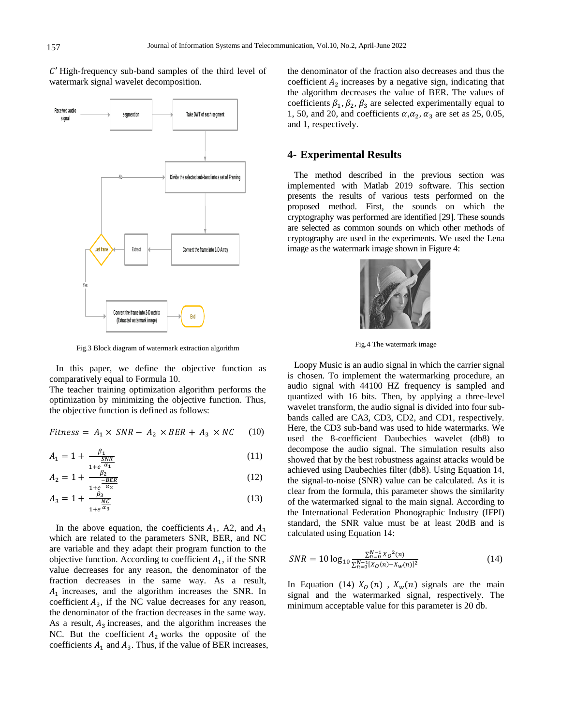**Last frame Yes segmention Take DWT of each segment Divide the selected sub-band into a set of Framing Extract Convert the frame into 1-D Array Convert the frame into 2-D matrix (Extracted watermark image) End No Received audio signal**

Fig.3 Block diagram of watermark extraction algorithm

In this paper, we define the objective function as

comparatively equal to Formula 10. The teacher training optimization algorithm performs the optimization by minimizing the objective function. Thus, the objective function is defined as follows:

$$
Fitness = A_1 \times SNR - A_2 \times BER + A_3 \times NC \quad (10)
$$

$$
A_1 = 1 + \frac{\beta_1}{\frac{SNR}{\alpha_1}}\tag{11}
$$

$$
A_2 = 1 + \frac{\beta_2}{\frac{-BER}{1 + e^{-\alpha_2}}}
$$
 (12)

$$
A_3 = 1 + \frac{\beta_3}{\frac{NC}{1 + e^{\alpha_3}}} \tag{13}
$$

In the above equation, the coefficients  $A_1$ , A2, and which are related to the parameters SNR, BER, and NC are variable and they adapt their program function to the objective function. According to coefficient  $A_1$ , if the SNR value decreases for any reason, the denominator of the fraction decreases in the same way. As a result,  $A_1$  increases, and the algorithm increases the SNR. In coefficient  $A_3$ , if the NC value decreases for any reason, the denominator of the fraction decreases in the same way. As a result,  $A_3$  increases, and the algorithm increases the NC. But the coefficient  $A_2$  works the opposite of the coefficients  $A_1$  and  $A_3$ . Thus, if the value of BER increases, the denominator of the fraction also decreases and thus the coefficient  $A_2$  increases by a negative sign, indicating that the algorithm decreases the value of BER. The values of coefficients  $\beta_1$ ,  $\beta_2$ ,  $\beta_3$  are selected experimentally equal to 1, 50, and 20, and coefficients  $\alpha, \alpha_2, \alpha_3$  are set as 25, 0.05, and 1, respectively.

## **4- Experimental Results**

The method described in the previous section was implemented with Matlab 2019 software. This section presents the results of various tests performed on the proposed method. First, the sounds on which the cryptography was performed are identified [29]. These sounds are selected as common sounds on which other methods of cryptography are used in the experiments. We used the Lena image as the watermark image shown in Figure 4:



Fig.4 The watermark image

Loopy Music is an audio signal in which the carrier signal is chosen. To implement the watermarking procedure, an audio signal with 44100 HZ frequency is sampled and quantized with 16 bits. Then, by applying a three-level wavelet transform, the audio signal is divided into four subbands called are CA3, CD3, CD2, and CD1, respectively. Here, the CD3 sub-band was used to hide watermarks. We used the 8-coefficient Daubechies wavelet (db8) to decompose the audio signal. The simulation results also showed that by the best robustness against attacks would be achieved using Daubechies filter (db8). Using Equation 14, the signal-to-noise (SNR) value can be calculated. As it is clear from the formula, this parameter shows the similarity of the watermarked signal to the main signal. According to the International Federation Phonographic Industry (IFPI) standard, the SNR value must be at least 20dB and is calculated using Equation 14:

$$
SNR = 10 \log_{10} \frac{\sum_{n=0}^{N-1} X_0^2(n)}{\sum_{n=0}^{N-1} [X_0(n) - X_w(n)]^2}
$$
(14)

In Equation (14)  $X_0(n)$ ,  $X_w(n)$  signals are the main signal and the watermarked signal, respectively. The minimum acceptable value for this parameter is 20 db.

 $C'$  High-frequency sub-band samples of the third level of watermark signal wavelet decomposition.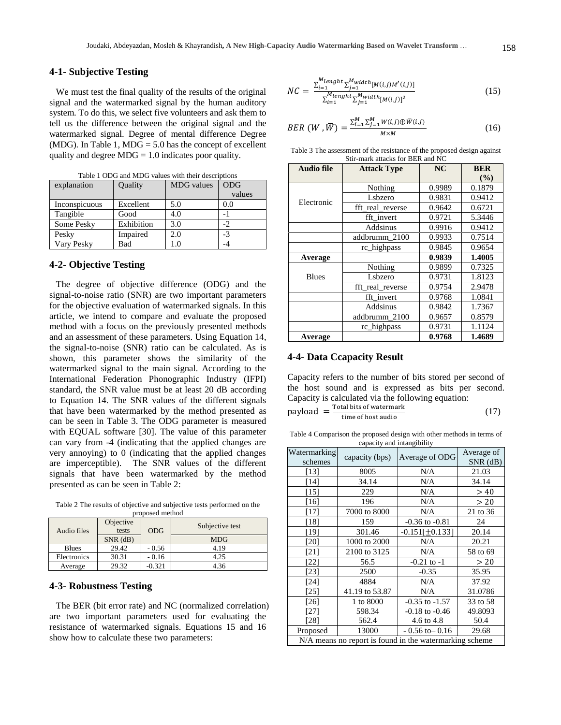#### **4-1- Subjective Testing**

We must test the final quality of the results of the original signal and the watermarked signal by the human auditory system. To do this, we select five volunteers and ask them to tell us the difference between the original signal and the watermarked signal. Degree of mental difference Degree (MDG). In Table 1, MDG  $=$  5.0 has the concept of excellent quality and degree  $MDG = 1.0$  indicates poor quality.

Table 1 ODG and MDG values with their descriptions

explanation | Quality | MDG values | ODG

|               |            |          | values |
|---------------|------------|----------|--------|
| Inconspicuous | Excellent  | 5.0      | 0.0    |
| Tangible      | Good       | 4.0      |        |
| Some Pesky    | Exhibition | 3.0      | -2     |
| Pesky         | Impaired   | 2.0      | -3     |
| Vary Pesky    | Bad        | $\Omega$ | -4     |

#### **4-2- Objective Testing**

The degree of objective difference (ODG) and the signal-to-noise ratio (SNR) are two important parameters for the objective evaluation of watermarked signals. In this article, we intend to compare and evaluate the proposed method with a focus on the previously presented methods and an assessment of these parameters. Using Equation 14, the signal-to-noise (SNR) ratio can be calculated. As is shown, this parameter shows the similarity of the watermarked signal to the main signal. According to the International Federation Phonographic Industry (IFPI) standard, the SNR value must be at least 20 dB according to Equation 14. The SNR values of the different signals that have been watermarked by the method presented as can be seen in Table 3. The ODG parameter is measured with EQUAL software [30]. The value of this parameter can vary from -4 (indicating that the applied changes are very annoying) to 0 (indicating that the applied changes are imperceptible). The SNR values of the different signals that have been watermarked by the method presented as can be seen in Table 2:

Table 2 The results of objective and subjective tests performed on the proposed method

| Audio files  | Objective<br>tests | <b>ODG</b> | Subjective test |  |
|--------------|--------------------|------------|-----------------|--|
|              | $SNR$ (dB)         |            | <b>MDG</b>      |  |
| <b>Blues</b> | 29.42              | $-0.56$    | 4.19            |  |
| Electronics  | 30.31              | $-0.16$    | 4.25            |  |
| Average      | 29.32              | $-0.321$   | 4.36            |  |

#### **4-3- Robustness Testing**

The BER (bit error rate) and NC (normalized correlation) are two important parameters used for evaluating the resistance of watermarked signals. Equations 15 and 16 show how to calculate these two parameters:

$$
NC = \frac{\sum_{i=1}^{M length} \sum_{j=1}^{Mwidth} [M(i,j)M'(i,j)]}{\sum_{i=1}^{M length} \sum_{j=1}^{Mwidth} [M(i,j)]^2}
$$
(15)

$$
BER\ (W\ ,\bar{W})=\frac{\sum_{i=1}^{M}\sum_{j=1}^{M}W(i,j)\oplus\bar{W}(i,j)}{M\times M}
$$
 (16)

Table 3 The assessment of the resistance of the proposed design against Stir-mark attacks for BER and NC

| <b>Audio file</b> | <b>Attack Type</b> | NC     | <b>BER</b><br>(9/0) |
|-------------------|--------------------|--------|---------------------|
|                   | Nothing            | 0.9989 | 0.1879              |
| Electronic        | Lsbzero            | 0.9831 | 0.9412              |
|                   | fft real reverse   | 0.9642 | 0.6721              |
|                   | fft invert         | 0.9721 | 5.3446              |
|                   | Addsinus           | 0.9916 | 0.9412              |
|                   | addbrumm 2100      | 0.9933 | 0.7514              |
|                   | rc_highpass        | 0.9845 | 0.9654              |
| Average           |                    | 0.9839 | 1.4005              |
|                   | Nothing            | 0.9899 | 0.7325              |
| <b>Blues</b>      | Lsbzero            | 0.9731 | 1.8123              |
|                   | fft real reverse   | 0.9754 | 2.9478              |
|                   | fft invert         | 0.9768 | 1.0841              |
|                   | Addsinus           | 0.9842 | 1.7367              |
|                   | addbrumm 2100      | 0.9657 | 0.8579              |
|                   | rc_highpass        | 0.9731 | 1.1124              |
| Average           |                    | 0.9768 | 1.4689              |

#### **4-4- Data Ccapacity Result**

Capacity refers to the number of bits stored per second of the host sound and is expressed as bits per second. Capacity is calculated via the following equation:

$$
payload = \frac{\text{Total bits of watermark}}{\text{time of host audio}} \tag{17}
$$

Table 4 Comparison the proposed design with other methods in terms of capacity and intangibility

| Watermarking<br>schemes                                 | capacity (bps) | Average of ODG      | Average of<br>$SNR$ ( $dB$ ) |
|---------------------------------------------------------|----------------|---------------------|------------------------------|
| [13]                                                    | 8005           | N/A                 | 21.03                        |
| $[14]$                                                  | 34.14          | N/A                 | 34.14                        |
| $[15]$                                                  | 229            | N/A                 | >40                          |
| [16]                                                    | 196            | N/A                 | > 20                         |
| $[17]$                                                  | 7000 to 8000   | N/A                 | 21 to 36                     |
| [18]                                                    | 159            | $-0.36$ to $-0.81$  | 24                           |
| $[19]$                                                  | 301.46         | $-0.151[\pm 0.133]$ | 20.14                        |
| [20]                                                    | 1000 to 2000   | N/A                 | 20.21                        |
| [21]                                                    | 2100 to 3125   | N/A                 | 58 to 69                     |
| [22]                                                    | 56.5           | $-0.21$ to $-1$     | > 20                         |
| [23]                                                    | 2500           | $-0.35$             | 35.95                        |
| [24]                                                    | 4884           | N/A                 | 37.92                        |
| [25]                                                    | 41.19 to 53.87 | N/A                 | 31.0786                      |
| $[26]$                                                  | 1 to 8000      | $-0.35$ to $-1.57$  | 33 to 58                     |
| $[27]$                                                  | 598.34         | $-0.18$ to $-0.46$  | 49.8093                      |
| [28]                                                    | 562.4          | 4.6 to 4.8          | 50.4                         |
| Proposed                                                | 13000          |                     | 29.68                        |
| N/A means no report is found in the watermarking scheme |                |                     |                              |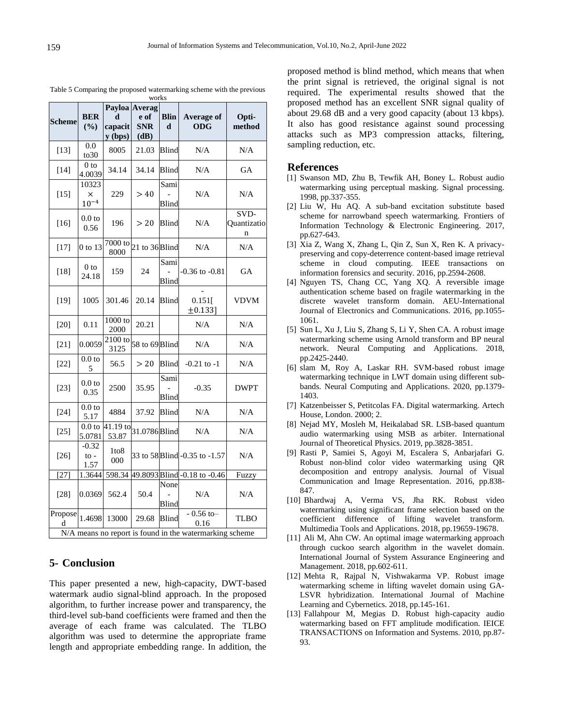<u>a sa Ting</u>

T

| <b>Scheme</b> | <b>BER</b><br>(%)           | d<br>capacit<br>$y$ (bps)      | Payloa Averag<br>e of<br><b>SNR</b><br>(dB) | <b>Blin</b><br>$\mathbf d$ | <b>Average of</b><br><b>ODG</b>                                                | Opti-<br>method          |
|---------------|-----------------------------|--------------------------------|---------------------------------------------|----------------------------|--------------------------------------------------------------------------------|--------------------------|
| $[13]$        | 0.0<br>to 30                | 8005                           | 21.03                                       | <b>Blind</b>               | N/A                                                                            | N/A                      |
| $[14]$        | 0 <sub>to</sub><br>4.0039   | 34.14                          | 34.14                                       | Blind                      | N/A                                                                            | GА                       |
| $[15]$        | 10323<br>×<br>$10^{-4}$     | 229                            | > 40                                        | Sami<br>Blind              | N/A                                                                            | N/A                      |
| $[16]$        | 0.0 <sub>to</sub><br>0.56   | 196                            | > 20                                        | Blind                      | N/A                                                                            | SVD-<br>Quantizatio<br>n |
| $[17]$        | 0 to 13                     | 7000 to<br>8000                | 21 to 36 Blind                              |                            | N/A                                                                            | N/A                      |
| $[18]$        | 0 to<br>24.18               | 159                            | 24                                          | Sami<br><b>Blind</b>       | $-0.36$ to $-0.81$                                                             | <b>GA</b>                |
| $[19]$        | 1005                        | 301.46                         | 20.14                                       | <b>Blind</b>               | 0.151<br>±0.133]                                                               | <b>VDVM</b>              |
| $[20]$        | 0.11                        | $1000$ to<br>2000              | 20.21                                       |                            | N/A                                                                            | N/A                      |
| $[21]$        | 0.0059                      | 2100 to<br>3125                | 58 to 69 Blind                              |                            | N/A                                                                            | N/A                      |
| $[22]$        | 0.0 <sub>to</sub><br>5      | 56.5                           | > 20                                        | <b>Blind</b>               | $-0.21$ to $-1$                                                                | N/A                      |
| $[23]$        | 0.0 <sub>to</sub><br>0.35   | 2500                           | 35.95                                       | Sami<br>Blind              | $-0.35$                                                                        | <b>DWPT</b>              |
| $[24]$        | 0.0 <sub>to</sub><br>5.17   | 4884                           | 37.92                                       | Blind                      | N/A                                                                            | N/A                      |
| $[25]$        | 0.0 <sub>to</sub><br>5.0781 | $\overline{41.19}$ to<br>53.87 | 31.0786 Blind                               |                            | N/A                                                                            | N/A                      |
| $[26]$        | $-0.32$<br>$to -$<br>1.57   | 1to8<br>000                    |                                             |                            | 33 to 58 Blind -0.35 to -1.57                                                  | N/A                      |
| $[27]$        | 1.3644                      |                                |                                             |                            | 598.34 49.8093 Blind -0.18 to -0.46                                            | Fuzzy                    |
| $[28]$        | 0.0369                      | 562.4                          | 50.4                                        | None<br>Blind              | N/A                                                                            | N/A                      |
| Propose<br>d  | 1.4698                      | 13000                          | 29.68                                       | <b>Blind</b>               | $-0.56$ to-<br>0.16<br>N/A means no report is found in the watermarking scheme | <b>TLBO</b>              |

Table 5 Comparing the proposed watermarking scheme with the previous works

# **5- Conclusion**

This paper presented a new, high-capacity, DWT-based watermark audio signal-blind approach. In the proposed algorithm, to further increase power and transparency, the third-level sub-band coefficients were framed and then the average of each frame was calculated. The TLBO algorithm was used to determine the appropriate frame length and appropriate embedding range. In addition, the proposed method is blind method, which means that when the print signal is retrieved, the original signal is not required. The experimental results showed that the proposed method has an excellent SNR signal quality of about 29.68 dB and a very good capacity (about 13 kbps). It also has good resistance against sound processing attacks such as MP3 compression attacks, filtering, sampling reduction, etc.

#### **References**

- [1] Swanson MD, Zhu B, Tewfik AH, Boney L. Robust audio watermarking using perceptual masking. Signal processing. 1998, pp.337-355.
- [2] Liu W, Hu AQ. A sub-band excitation substitute based scheme for narrowband speech watermarking. Frontiers of Information Technology & Electronic Engineering. 2017, pp.627-643.
- [3] Xia Z, Wang X, Zhang L, Qin Z, Sun X, Ren K. A privacypreserving and copy-deterrence content-based image retrieval scheme in cloud computing. IEEE transactions on information forensics and security. 2016, pp.2594-2608.
- [4] Nguyen TS, Chang CC, Yang XQ. A reversible image authentication scheme based on fragile watermarking in the discrete wavelet transform domain. AEU-International Journal of Electronics and Communications. 2016, pp.1055- 1061.
- [5] Sun L, Xu J, Liu S, Zhang S, Li Y, Shen CA. A robust image watermarking scheme using Arnold transform and BP neural network. Neural Computing and Applications. 2018, pp.2425-2440.
- [6] slam M, Roy A, Laskar RH. SVM-based robust image watermarking technique in LWT domain using different subbands. Neural Computing and Applications. 2020, pp.1379- 1403.
- [7] Katzenbeisser S, Petitcolas FA. Digital watermarking. Artech House, London. 2000; 2.
- [8] Nejad MY, Mosleh M, Heikalabad SR. LSB-based quantum audio watermarking using MSB as arbiter. International Journal of Theoretical Physics. 2019, pp.3828-3851.
- [9] Rasti P, Samiei S, Agoyi M, Escalera S, Anbarjafari G. Robust non-blind color video watermarking using QR decomposition and entropy analysis. Journal of Visual Communication and Image Representation. 2016, pp.838- 847.
- [10] Bhardwaj A, Verma VS, Jha RK. Robust video watermarking using significant frame selection based on the coefficient difference of lifting wavelet transform. Multimedia Tools and Applications. 2018, pp.19659-19678.
- [11] Ali M, Ahn CW. An optimal image watermarking approach through cuckoo search algorithm in the wavelet domain. International Journal of System Assurance Engineering and Management. 2018, pp.602-611.
- [12] Mehta R, Rajpal N, Vishwakarma VP. Robust image watermarking scheme in lifting wavelet domain using GA-LSVR hybridization. International Journal of Machine Learning and Cybernetics. 2018, pp.145-161.
- [13] Fallahpour M, Megias D. Robust high-capacity audio watermarking based on FFT amplitude modification. IEICE TRANSACTIONS on Information and Systems. 2010, pp.87- 93.